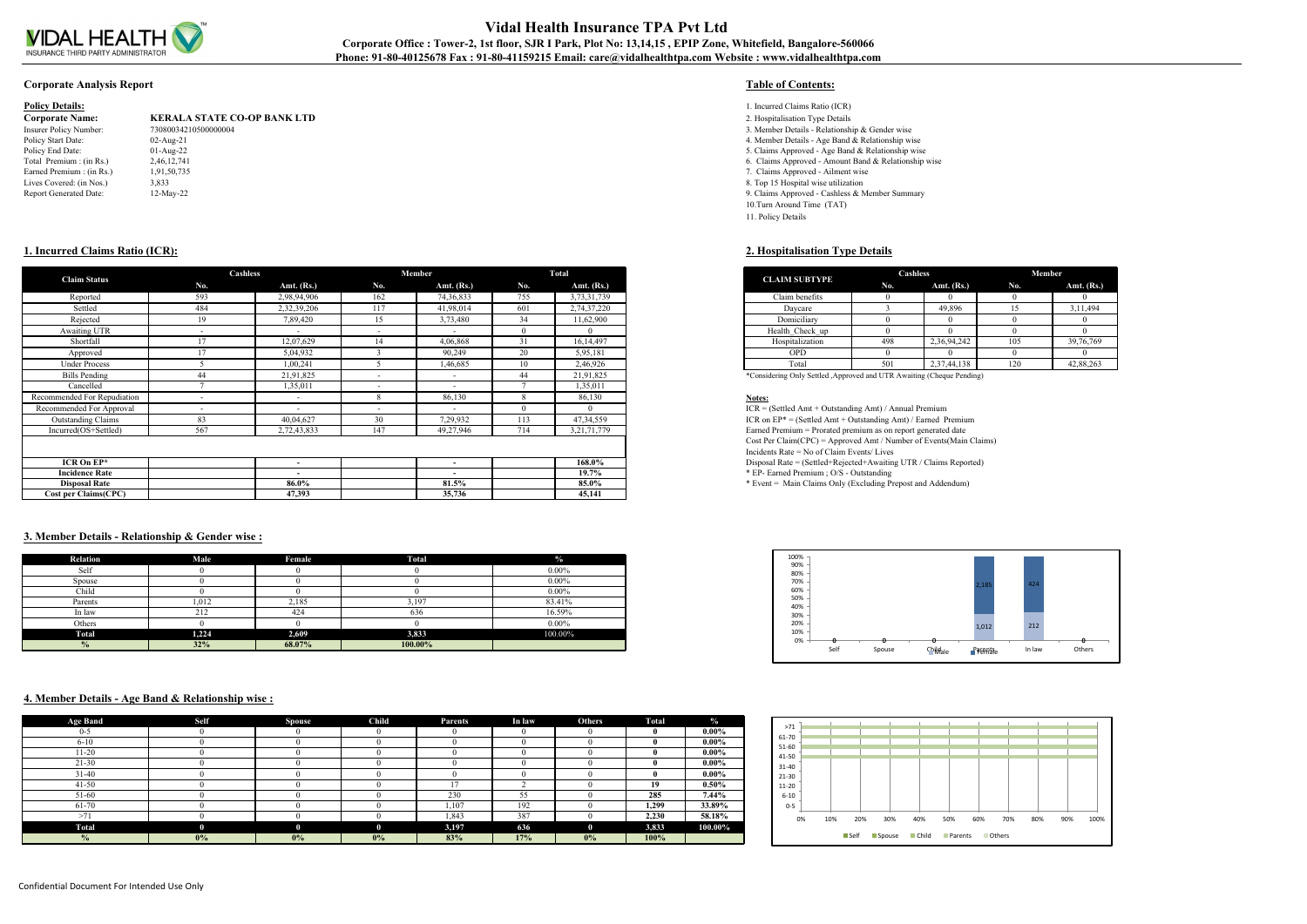

# **Vidal Health Insurance TPA Pvt Ltd** Corporate Office : Tower-2, 1st floor, SJR I Park, Plot No: 13,14,15, EPIP Zone, Whitefield, Bangalore-560066 **Phone: 91-80-40125678 Fax : 91-80-41159215 Email: care@vidalhealthtpa.com Website : www.vidalhealthtpa.com**

## **Corporate Analysis Report Table of Contents:**

| <b>Policy Details:</b> |  |
|------------------------|--|
|------------------------|--|

| <b>Corporate Name:</b>        | <b>KERALA STATE CO-OP BANK L</b> |
|-------------------------------|----------------------------------|
| Insurer Policy Number:        | 73080034210500000004             |
| Policy Start Date:            | $02$ -Aug-21                     |
| Policy End Date:              | $01-Aug-22$                      |
| Total Premium : (in Rs.)      | 2,46,12,741                      |
| Earned Premium : (in Rs.)     | 1,91,50,735                      |
| Lives Covered: (in Nos.)      | 3,833                            |
| <b>Report Generated Date:</b> | $12$ -May-22                     |
|                               |                                  |

- **Policy 1. Incurred Claims Ratio (ICR)**<br>**Policy 3. Hospitalisation Type Details**<br>**Policy 1. Incurred Claims Ratio (ICR)** 
	- **Corporate Name: KERALA STATE CO-OP BANK LTD** 2. Hospitalisation Type Details
	- 3. Member Details Relationship & Gender wise
	- 4. Member Details Age Band  $\&$  Relationship wise
	- 5. Claims Approved Age Band & Relationship wise
	- 6. Claims Approved Amount Band & Relationship wise
	- 7. Claims Approved Ailment wise
	- 8. Top 15 Hospital wise utilization
	- 9. Claims Approved Cashless & Member Summary
	- 10.Turn Around Time (TAT) 11. Policy Details

## **1. Incurred Claims Ratio (ICR): 2. Hospitalisation Type Details**

| <b>CLAIM SUBTYPE</b> | Cashless |              |     | Member       |  |  |  |  |
|----------------------|----------|--------------|-----|--------------|--|--|--|--|
|                      | No.      | Amt. $(Rs.)$ | No. | Amt. $(Rs.)$ |  |  |  |  |
| Claim benefits       |          |              |     |              |  |  |  |  |
| Daycare              |          | 49,896       | 15  | 3,11,494     |  |  |  |  |
| Domiciliary          |          |              |     |              |  |  |  |  |
| Health Check_up      |          |              |     |              |  |  |  |  |
| Hospitalization      | 498      | 2,36,94,242  | 105 | 39,76,769    |  |  |  |  |
| <b>OPD</b>           |          |              |     |              |  |  |  |  |
| Total                | 501      | 2,37,44,138  | 120 | 42,88,263    |  |  |  |  |

| <b>Claim Status</b>         | Cashless                 |                          |        | Member                   |                 | Total          |
|-----------------------------|--------------------------|--------------------------|--------|--------------------------|-----------------|----------------|
|                             | No.                      | Amt. $(Rs.)$             | No.    | Amt. $(Rs.)$             | No.             | Amt. $(Rs.)$   |
| Reported                    | 593                      | 2,98,94,906              | 162    | 74,36,833                | 755             | 3,73,31,739    |
| Settled                     | 484                      | 2,32,39,206              | 117    | 41,98,014                | 601             | 2,74,37,220    |
| Rejected                    | 19                       | 7,89,420                 | 15     | 3,73,480                 | 34              | 11,62,900      |
| Awaiting UTR                | $\overline{\phantom{a}}$ | $\overline{\phantom{0}}$ | $\sim$ | $\overline{\phantom{0}}$ |                 |                |
| Shortfall                   |                          | 12,07,629                | 14     | 4,06,868                 |                 | 16, 14, 497    |
| Approved                    |                          | 5,04,932                 |        | 90,249                   | 20              | 5,95,181       |
| <b>Under Process</b>        |                          | 1,00,241                 |        | 1,46,685                 | 10 <sup>1</sup> | 2,46,926       |
| <b>Bills Pending</b>        | 44                       | 21,91,825                | $\sim$ | $\overline{\phantom{0}}$ | 44              | 21,91,825      |
| Cancelled                   |                          | 1,35,011                 | $\sim$ | $\overline{\phantom{0}}$ |                 | 1,35,011       |
| Recommended For Repudiation | $\sim$                   | $\overline{\phantom{0}}$ |        | 86,130                   |                 | 86,130         |
| Recommended For Approval    | $\overline{\phantom{0}}$ | $\overline{\phantom{a}}$ | $\sim$ | $\sim$                   |                 |                |
| <b>Outstanding Claims</b>   | 83                       | 40,04,627                | 30     | 7,29,932                 | 113             | 47, 34, 559    |
| Incurred(OS+Settled)        | 567                      | 2,72,43,833              | 147    | 49,27,946                | 714             | 3, 21, 71, 779 |
|                             |                          |                          |        |                          |                 |                |
|                             |                          |                          |        |                          |                 |                |
| ICR On $EP^*$               |                          | $\overline{\phantom{a}}$ |        | $\overline{\phantom{0}}$ |                 | 168.0%         |
| <b>Incidence Rate</b>       |                          | $\overline{\phantom{0}}$ |        | $\overline{\phantom{a}}$ |                 | $19.7\%$       |
| <b>Disposal Rate</b>        |                          | 86.0%                    |        | 81.5%                    |                 | 85.0%          |
| <b>Cost per Claims(CPC)</b> |                          | 47,393                   |        | 35,736                   |                 | 45,141         |

## **3. Member Details - Relationship & Gender wise :**

| <b>Relation</b> | Male  | Female | <b>Total</b> | $\frac{0}{2}$ |
|-----------------|-------|--------|--------------|---------------|
| Self            |       |        |              | $0.00\%$      |
| Spouse          |       |        |              | $0.00\%$      |
| Child           |       |        |              | $0.00\%$      |
| Parents         | 1.012 | 2.185  | 3.197        | 83.41%        |
| In law          | 212   | 424    | 636          | 16.59%        |
| Others          |       |        |              | $0.00\%$      |
| <b>Total</b>    | 1,224 | 2,609  | 3,833        | 100.00%       |
| $\frac{0}{0}$   | 32%   | 68.07% | 100.00%      |               |

## **4. Member Details - Age Band & Relationship wise :**

| <b>Age Band</b> | <b>Self</b>  | <b>Spouse</b> | <b>Child</b> | Parents | In law   | <b>Others</b> | <b>Total</b> | $\frac{0}{2}$ |
|-----------------|--------------|---------------|--------------|---------|----------|---------------|--------------|---------------|
| $0 - 5$         |              |               |              |         | 0        |               |              | $0.00\%$      |
| $6 - 10$        |              |               |              |         | $\Omega$ |               |              | $0.00\%$      |
| $11-20$         |              |               |              |         |          |               |              | $0.00\%$      |
| $21 - 30$       |              |               |              |         | 0        |               |              | $0.00\%$      |
| $31 - 40$       |              |               |              |         | $\Omega$ |               |              | $0.00\%$      |
| $41 - 50$       |              |               |              |         |          |               | 19           | $0.50\%$      |
| 51-60           |              |               |              | 230     | 55       |               | 285          | 7.44%         |
| 61-70           |              |               |              | 1,107   | 192      |               | 1,299        | 33.89%        |
| >71             |              |               |              | 1,843   | 387      |               | 2,230        | 58.18%        |
| <b>Total</b>    | $\mathbf{0}$ | $\mathbf 0$   | $\mathbf{0}$ | 3,197   | 636      | $\mathbf{0}$  | 3,833        | 100.00%       |
| $\frac{0}{0}$   | 0%           | $0\%$         | $0\%$        | 83%     | 17%      | $0\%$         | 100%         |               |



| 61-70<br>51-60     |     |     |     |     |     |     |     |     |     |      |
|--------------------|-----|-----|-----|-----|-----|-----|-----|-----|-----|------|
| 41-50              |     |     |     |     |     |     |     |     |     |      |
| 31-40              |     |     |     |     |     |     |     |     |     |      |
| 21-30<br>$11 - 20$ |     |     |     |     |     |     |     |     |     |      |
| $6 - 10$           |     |     |     |     |     |     |     |     |     |      |
|                    |     |     |     |     |     |     |     |     |     |      |
| $0 - 5$            |     |     |     |     |     |     |     |     |     |      |
| 0%                 | 10% | 20% | 30% | 40% | 50% | 60% | 70% | 80% | 90% | 100% |

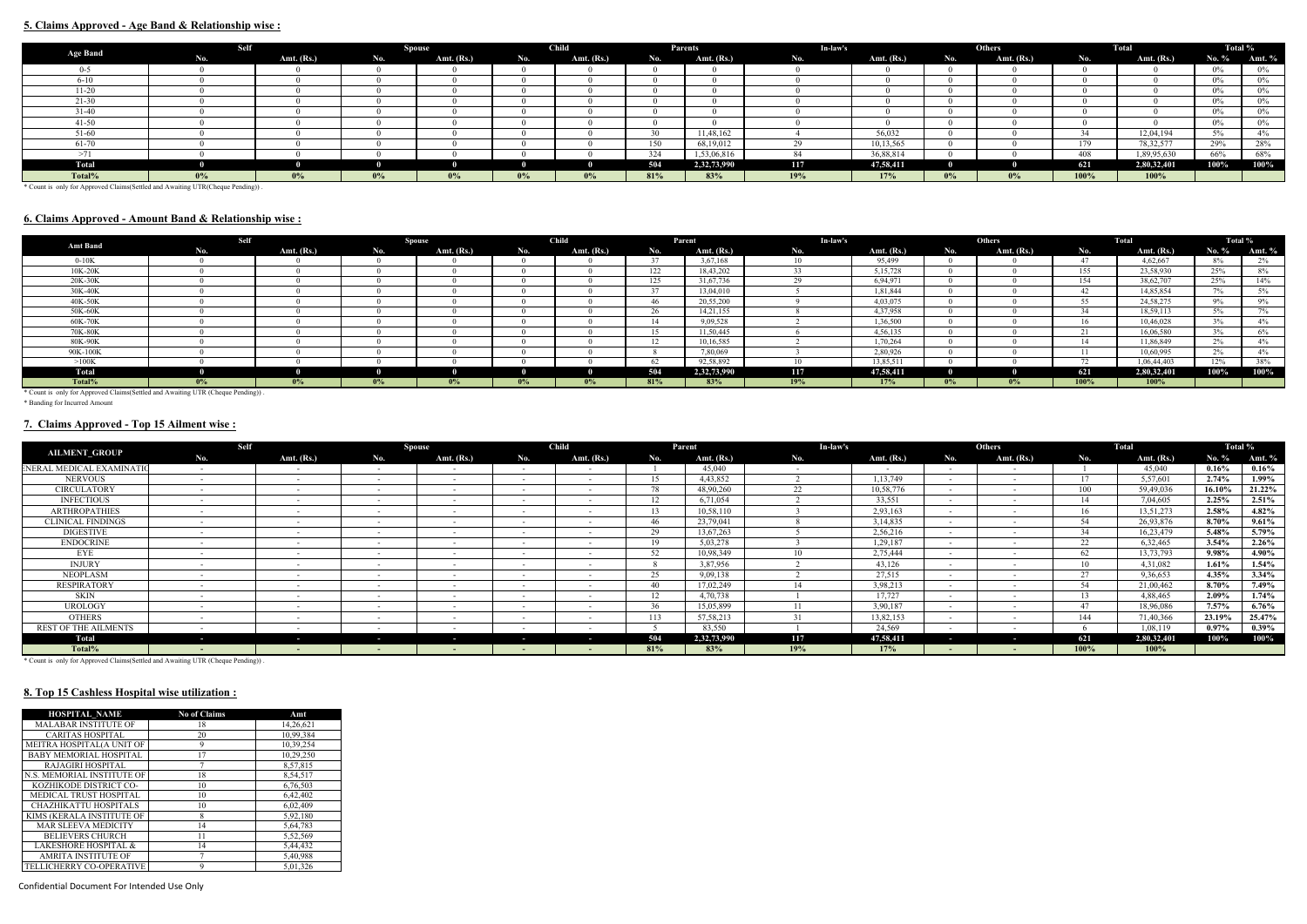## **5. Claims Approved - Age Band & Relationship wise :**

|                 | Self  |              |       | <b>Spouse</b> |       | <b>Child</b> |     | Parents      | In-law's |              |       | Others       |      | Total        | Total % |        |
|-----------------|-------|--------------|-------|---------------|-------|--------------|-----|--------------|----------|--------------|-------|--------------|------|--------------|---------|--------|
| <b>Age Band</b> | No.   | Amt. $(Rs.)$ | No.   | Amt. (Rs.)    | No.   | Amt. $(Rs.)$ | No. | Amt. $(Rs.)$ | No.      | Amt. $(Rs.)$ | No.   | Amt. $(Rs.)$ | No.  | Amt. $(Rs.)$ | No. %   | Amt. % |
| $0 - 5$         |       |              |       |               |       |              |     |              |          |              |       |              |      |              | $0\%$   |        |
| $6 - 10$        |       |              |       |               |       |              |     |              |          |              |       |              |      |              | $0\%$   | $0\%$  |
| $11 - 20$       |       |              |       |               |       |              |     |              |          |              |       |              |      |              | $0\%$   | $0\%$  |
| 21-30           |       |              |       |               |       |              |     |              |          |              |       |              |      |              | $0\%$   | $0\%$  |
| 31-40           |       |              |       |               |       |              |     |              |          |              |       |              |      |              | $0\%$   | $0\%$  |
| $41 - 50$       |       |              |       |               |       |              |     |              |          |              |       |              |      |              | $0\%$   | $0\%$  |
| 51-60           |       |              |       |               |       |              | 30  | 11,48,162    |          | 56,032       |       |              |      | 12,04,194    | $5\%$   | 4%     |
| 61-70           |       |              |       |               |       |              | 150 | 68,19,012    |          | 10,13,565    |       |              | 179  | 78, 32, 577  | 29%     | 28%    |
| >71             |       |              |       |               |       |              | 324 | 1,53,06,816  |          | 36,88,814    |       |              | 408  | 1,89,95,630  | 66%     | 68%    |
| Total           |       |              |       |               |       |              | 504 | 2,32,73,990  | 117      | 47,58,411    |       |              | 621  | 2,80,32,401  | 100%    | 100%   |
| Total%          | $0\%$ | $0\%$        | $0\%$ | $0\%$         | $0\%$ | $0\%$        | 81% | 83%          | 19%      | 17%          | $0\%$ | $0\%$        | 100% | 100%         |         |        |

\* Count is only for Approved Claims(Settled and Awaiting UTR(Cheque Pending)) .

## **6. Claims Approved - Amount Band & Relationship wise :**

| Amt Band                                                                       | <b>Self</b> |              |       | Spouse       |       | <b>Child</b> |        | Parent       | In-law's |              |       | <b>Others</b> |                         | Total        | Total % |              |
|--------------------------------------------------------------------------------|-------------|--------------|-------|--------------|-------|--------------|--------|--------------|----------|--------------|-------|---------------|-------------------------|--------------|---------|--------------|
|                                                                                | No.         | Amt. $(Rs.)$ | No.   | Amt. $(Rs.)$ | No.   | Amt. $(Rs.)$ | No.    | Amt. $(Rs.)$ | No.      | Amt. $(Rs.)$ | No.   | Amt. $(Rs.)$  | No.                     | Amt. $(Rs.)$ | No. $%$ | Amt. %       |
| $0-10K$                                                                        |             |              |       |              |       |              |        | 3,67,168     |          | 95,499       |       |               | 47                      | 4,62,667     | 8%      | 2%           |
| 10K-20K                                                                        |             |              |       |              |       |              | 122    | 18,43,202    |          | 5, 15, 728   |       |               | 155                     | 23,58,930    | 25%     | $8\%$        |
| 20K-30K                                                                        |             |              |       |              |       |              | 125    | 31,67,736    |          | 6,94,971     |       |               | 154                     | 38,62,707    | 25%     | 14%          |
| 30K-40K                                                                        |             |              |       |              |       |              | $\sim$ | 13,04,010    |          | 1.81.844     |       |               | 42                      | 14.85.854    | $7\%$   | $5\%$        |
| 40K-50K                                                                        |             |              |       |              |       |              | 46     | 20,55,200    |          | 4,03,075     |       |               | 55                      | 24, 58, 275  | $9\%$   | $9\%$        |
| 50K-60K                                                                        |             |              |       |              |       |              | $\sim$ | 14,21,155    |          | 4,37,958     |       |               |                         | 18,59,113    | 5%      | 70/<br>$1\%$ |
| 60K-70K                                                                        |             |              |       |              |       |              |        | 9.09.528     |          | 1.36.500     |       |               | 16.                     | 10.46.028    | 3%      | $4\%$        |
| 70K-80K                                                                        |             |              |       |              |       |              |        | 11,50,445    |          | 4,56,135     |       |               | $\sim$ $\sim$           | 16,06,580    | 3%      | $6\%$        |
| 80K-90K                                                                        |             |              |       |              |       |              |        | 10.16.585    |          | 1.70.264     |       |               | 14.                     | 11.86.849    | 2%      | 4%           |
| 90K-100K                                                                       |             |              |       |              |       |              |        | 7,80,069     |          | 2,80,926     |       |               |                         | 10,60,995    | 2%      | $4\%$        |
| >100K                                                                          |             |              |       |              |       |              |        | 92.58.892    |          | 13,85,511    |       |               | $\overline{a}$<br>$12-$ | 1,06,44,403  | 12%     | 38%          |
| <b>Total</b>                                                                   |             |              |       |              |       |              | 504    | 2,32,73,990  | 117      | 47,58,411    |       |               | 621                     | 2,80,32,401  | 100%    | 100%         |
| Total%                                                                         | $0\%$       | $0\%$        | $0\%$ | $0\%$        | $0\%$ | $0\%$        | 81%    | 83%          | 19%      | 17%          | $0\%$ | $0\%$         | $100\%$                 | 100%         |         |              |
| * Count is only for Approved Claims Settled and Awaiting HTR (Cheque Pending)) |             |              |       |              |       |              |        |              |          |              |       |               |                         |              |         |              |

ed and Awaiting UTR (Cheque Pending)) . \* Count is only for Approved Clai<br>\* Banding for Incurred Amount

# **7. Claims Approved - Top 15 Ailment wise :**

| <b>AILMENT GROUP</b>        | Self   |                          |        | <b>Spouse</b>            |                          | <b>Child</b>             |     | Parent       | In-law's |              |        | <b>Others</b> |                         | Total        |          | Total %  |
|-----------------------------|--------|--------------------------|--------|--------------------------|--------------------------|--------------------------|-----|--------------|----------|--------------|--------|---------------|-------------------------|--------------|----------|----------|
|                             | No.    | Amt. (Rs.)               | No.    | Amt. $(Rs.)$             | No.                      | Amt. (Rs.)               | No. | Amt. $(Rs.)$ | No.      | Amt. $(Rs.)$ | N0.    | Amt. $(Rs.)$  | No.                     | Amt. $(Rs.)$ | No. %    | Amt. $%$ |
| ENERAL MEDICAL EXAMINATIO   | $\sim$ | $\sim$                   | $\sim$ | $\sim$                   | $\sim$ $\sim$            | $\sim$ $\sim$            |     | 45,040       |          | $\sim$       | $-$    | $\sim$        |                         | 45,040       | $0.16\%$ | $0.16\%$ |
| <b>NERVOUS</b>              |        | $\sim$                   | $\sim$ | $\sim$                   | $\sim$                   | $\sim$                   |     | 4,43,852     |          | 1,13,749     |        |               | 1 <sub>7</sub>          | 5,57,601     | $2.74\%$ | 1.99%    |
| <b>CIRCULATORY</b>          |        | $\sim$                   | $\sim$ | $\sim$                   | $\sim$                   | $\sim$                   | 78  | 48,90,260    | 22       | 10,58,776    |        |               | 100                     | 59,49,036    | 16.10%   | 21.22%   |
| <b>INFECTIOUS</b>           |        |                          | $\sim$ |                          |                          | $\sim$                   |     | 6,71,054     |          | 33,551       |        |               |                         | 7,04,605     | $2.25\%$ | 2.51%    |
| <b>ARTHROPATHIES</b>        |        |                          |        |                          |                          |                          |     | 10.58.110    |          | 2,93,163     |        |               |                         | 13,51,273    | $2.58\%$ | $4.82\%$ |
| <b>CLINICAL FINDINGS</b>    |        | $\sim$                   | $\sim$ | $\sim$                   | $\sim$                   | $\sim$                   | 46  | 23,79,041    |          | 3, 14, 835   | $-$    |               | $\epsilon$ <sub>A</sub> | 26,93,876    | 8.70%    | $9.61\%$ |
| <b>DIGESTIVE</b>            |        | $\sim$                   | $\sim$ | $\sim$                   | $\sim$                   | $\sim$                   | 29  | 13,67,263    |          | 2,56,216     |        |               | 24                      | 16,23,479    | 5.48%    | 5.79%    |
| <b>ENDOCRINE</b>            |        | $\overline{\phantom{a}}$ |        |                          |                          |                          |     | 5,03,278     |          | 1,29,187     |        |               | 22                      | 6,32,465     | $3.54\%$ | $2.26\%$ |
| EYE                         |        |                          |        |                          |                          |                          | -50 | 10.98.349    |          | 2,75,444     |        |               | 62                      | 13,73,793    | $9.98\%$ | 4.90%    |
| <b>INJURY</b>               |        | $\sim$                   | $\sim$ | $\overline{\phantom{0}}$ |                          | $\overline{\phantom{0}}$ |     | 3,87,956     |          | 43,126       |        |               | 10                      | 4,31,082     | 1.61%    | $1.54\%$ |
| <b>NEOPLASM</b>             |        | $\sim$                   | $\sim$ | $\overline{\phantom{a}}$ |                          | $\sim$                   | 25  | 9,09,138     |          | 27,515       | $\sim$ |               | $\sim$                  | 9,36,653     | $4.35\%$ | $3.34\%$ |
| RESPIRATORY                 |        | $\overline{\phantom{a}}$ | $\sim$ |                          |                          | $\sim$                   | 40  | 17,02,249    |          | 3,98,213     |        |               | $F_A$                   | 21,00,462    | 8.70%    | 7.49%    |
| SKIN                        |        |                          |        |                          |                          |                          |     | 4,70,738     |          | 17.727       |        |               |                         | 4,88,465     | $2.09\%$ | $1.74\%$ |
| <b>UROLOGY</b>              |        | $\sim$                   | $\sim$ |                          |                          |                          | 36  | 15,05,899    |          | 3,90,187     |        |               |                         | 18,96,086    | $7.57\%$ | $6.76\%$ |
| <b>OTHERS</b>               |        | $\sim$                   | $\sim$ |                          |                          | $\sim$                   | 113 | 57,58,213    |          | 13,82,153    |        |               | 144                     | 71,40,366    | 23.19%   | 25.47%   |
| <b>REST OF THE AILMENTS</b> |        | $\sim$                   | $\sim$ |                          |                          | $\overline{\phantom{0}}$ |     | 83,550       |          | 24,569       |        |               |                         | 1,08,119     | $0.97\%$ | $0.39\%$ |
| <b>Total</b>                | $\sim$ | $\sim$                   | $\sim$ | . .                      | $\overline{\phantom{a}}$ | . .                      | 504 | 2,32,73,990  | 117      | 47,58,411    | -      | --            | 621                     | 2,80,32,401  | 100%     | $100\%$  |
| Total%                      |        | $\sim$                   |        |                          |                          |                          | 81% | 83%          | 19%      | 17%          |        |               | 100%                    | 100%         |          |          |

\* Count is only for Approved Claims(Settled and Awaiting UTR (Cheque Pending)) .

# **8. Top 15 Cashless Hospital wise utilization :**

| <b>HOSPITAL NAME</b>            | <b>No of Claims</b> | Amt       |
|---------------------------------|---------------------|-----------|
| <b>MALABAR INSTITUTE OF</b>     | 18                  | 14,26,621 |
| <b>CARITAS HOSPITAL</b>         | 20                  | 10,99,384 |
| MEITRA HOSPITAL(A UNIT OF       | 9                   | 10,39,254 |
| <b>BABY MEMORIAL HOSPITAL</b>   | 17                  | 10,29,250 |
| <b>RAJAGIRI HOSPITAL</b>        | 7                   | 8,57,815  |
| N.S. MEMORIAL INSTITUTE OF      | 18                  | 8,54,517  |
| KOZHIKODE DISTRICT CO-          | 10                  | 6,76,503  |
| <b>MEDICAL TRUST HOSPITAL</b>   | 10                  | 6,42,402  |
| CHAZHIKATTU HOSPITALS           | 10                  | 6.02.409  |
| KIMS (KERALA INSTITUTE OF       | 8                   | 5,92,180  |
| <b>MAR SLEEVA MEDICITY</b>      | 14                  | 5,64,783  |
| <b>BELIEVERS CHURCH</b>         | 11                  | 5,52,569  |
| <b>LAKESHORE HOSPITAL &amp;</b> | 14                  | 5,44,432  |
| <b>AMRITA INSTITUTE OF</b>      |                     | 5,40,988  |
| TELLICHERRY CO-OPERATIVE        | 9                   | 5.01.326  |

Confidential Document For Intended Use Only